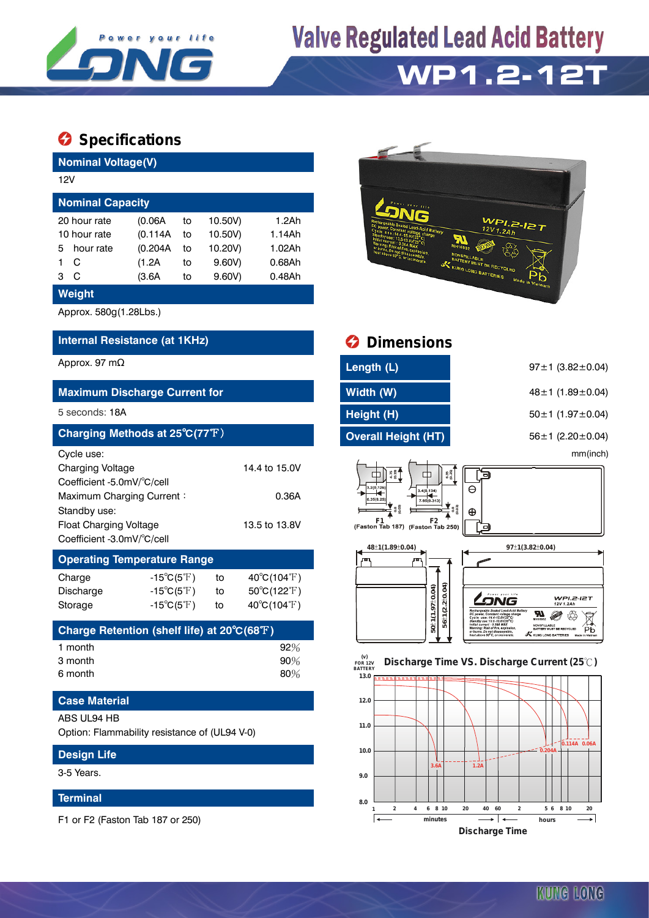

# **Valve Regulated Lead Acid Battery**

## **WP1.2-12T**

### **Specifications**

| <b>Nominal Voltage(V)</b>                                                                                                                                                       |                                                                                        |                                                                                    |                                                           |                                                                                                                                                                                    |                                                                                                                                                                                                                                                         |
|---------------------------------------------------------------------------------------------------------------------------------------------------------------------------------|----------------------------------------------------------------------------------------|------------------------------------------------------------------------------------|-----------------------------------------------------------|------------------------------------------------------------------------------------------------------------------------------------------------------------------------------------|---------------------------------------------------------------------------------------------------------------------------------------------------------------------------------------------------------------------------------------------------------|
| 12V                                                                                                                                                                             |                                                                                        |                                                                                    |                                                           |                                                                                                                                                                                    |                                                                                                                                                                                                                                                         |
| <b>Nominal Capacity</b>                                                                                                                                                         |                                                                                        |                                                                                    |                                                           |                                                                                                                                                                                    |                                                                                                                                                                                                                                                         |
| 20 hour rate<br>10 hour rate<br>hour rate<br>5<br>C<br>1.<br>3 <sup>C</sup>                                                                                                     | (0.06A)<br>(0.114A)<br>(0.204A)<br>(1.2A)<br>(3.6A)                                    | 10.50V)<br>to<br>10.50V)<br>to<br>10.20V)<br>to<br>$9.60V$ )<br>to<br>9.60V)<br>to | 1.2Ah<br>1.14Ah<br>1.02Ah<br>0.68Ah<br>0.48Ah             | id Battery                                                                                                                                                                         | <b>WPI.2-12T</b><br>12V1.2Ah<br><b>NONSPILLABLE</b><br>BATTERY MUST BE RECYCLED<br><b>KUNG LONG BATTERIES</b><br>Made in Vietnam                                                                                                                        |
| Weight                                                                                                                                                                          |                                                                                        |                                                                                    |                                                           |                                                                                                                                                                                    |                                                                                                                                                                                                                                                         |
| Approx. 580g(1.28Lbs.)                                                                                                                                                          |                                                                                        |                                                                                    |                                                           |                                                                                                                                                                                    |                                                                                                                                                                                                                                                         |
| Internal Resistance (at 1KHz)                                                                                                                                                   |                                                                                        |                                                                                    |                                                           | <b>Dimensions</b>                                                                                                                                                                  |                                                                                                                                                                                                                                                         |
| Approx. 97 $m\Omega$                                                                                                                                                            |                                                                                        |                                                                                    |                                                           | Length (L)                                                                                                                                                                         | $97 \pm 1$ (3.82 $\pm$ 0.04)                                                                                                                                                                                                                            |
| <b>Maximum Discharge Current for</b>                                                                                                                                            |                                                                                        |                                                                                    |                                                           | Width (W)                                                                                                                                                                          | 48 ± 1 $(1.89 \pm 0.04)$                                                                                                                                                                                                                                |
| 5 seconds: 18A                                                                                                                                                                  |                                                                                        |                                                                                    |                                                           | Height (H)                                                                                                                                                                         | $50 \pm 1$ (1.97 $\pm$ 0.04)                                                                                                                                                                                                                            |
| Charging Methods at 25°C(77°F)                                                                                                                                                  |                                                                                        |                                                                                    |                                                           | <b>Overall Height (HT)</b>                                                                                                                                                         | 56 ± 1 $(2.20 \pm 0.04)$                                                                                                                                                                                                                                |
| Cycle use:<br><b>Charging Voltage</b><br>Coefficient -5.0mV/°C/cell<br>Maximum Charging Current:<br>Standby use:<br><b>Float Charging Voltage</b><br>Coefficient -3.0mV/°C/cell |                                                                                        |                                                                                    | 14.4 to 15.0V<br>0.36A<br>13.5 to 13.8V                   | $4.75$<br>$(0.19)$<br>$6.35$<br>$(0.25)$<br>3.2(0.126<br>3.4(0.134)<br>.35(0.25<br>7.95(0.313)<br>$F1$ $F2$ $\overline{r}$<br>(Faston Tab 187) (Faston Tab 250)<br>48±1(1.89±0.04) | mm(inch)<br>∍<br>$\Theta$<br>$\frac{1}{2}$<br>$\oplus$<br>o<br>97±1(3.82±0.04)                                                                                                                                                                          |
| <b>Operating Temperature Range</b>                                                                                                                                              |                                                                                        |                                                                                    |                                                           | Æ                                                                                                                                                                                  |                                                                                                                                                                                                                                                         |
| Charge<br>Discharge<br>Storage                                                                                                                                                  | $-15^{\circ}C(5^{\circ}F)$<br>$-15^{\circ}C(5^{\circ}F)$<br>$-15^{\circ}C(5^{\circ}F)$ | to<br>to<br>to                                                                     | $40^{\circ}C(104^{\circ}F)$<br>50°C(122°F)<br>40°C(104°F) | $56 \pm 1(2.2 \pm 0.04)$<br>50±1(1.97±0.04)                                                                                                                                        | WPI.2-I2T<br><b>SNG</b><br>12V 1.2Ah<br>hargeable Sealed Lead-Acid Battery<br>Я<br>DC power, Constant voltage cha<br>Cycle use : 14.4-15.0V/25°C)<br>Standby use : 13.5-13.8V/25°C)<br>Initial current : 0.36A MAX<br>Warning: Risk of fire, explosion, |
| Charge Retention (shelf life) at 20°C(68°F)                                                                                                                                     |                                                                                        |                                                                                    |                                                           |                                                                                                                                                                                    | NONSPILLABLE<br>BATTERY MUST BE RECYCLED<br>Рb<br>or burns. Do not disassemble,<br>heat above 60°C, or incinerate<br><b>KUNG LONG BATTERIES</b>                                                                                                         |
| 1 month<br>3 month<br>6 month                                                                                                                                                   |                                                                                        |                                                                                    | 92%<br>90%<br>80%                                         | (v)<br>FOR 12V<br><b>BATTERY</b><br>13.0 <sub>1</sub>                                                                                                                              | Discharge Time VS. Discharge Current (25°C)                                                                                                                                                                                                             |
| <b>Case Material</b>                                                                                                                                                            |                                                                                        |                                                                                    |                                                           | 12.0                                                                                                                                                                               |                                                                                                                                                                                                                                                         |
| ABS UL94 HB<br>Option: Flammability resistance of (UL94 V-0)                                                                                                                    |                                                                                        |                                                                                    |                                                           | 11.0                                                                                                                                                                               |                                                                                                                                                                                                                                                         |
| <b>Design Life</b>                                                                                                                                                              |                                                                                        |                                                                                    |                                                           | 10.0                                                                                                                                                                               | 0.114A 0.06A<br>$\overline{0.204A}$                                                                                                                                                                                                                     |



#### **Terminal**

F1 or F2 (Faston Tab 187 or 250)



| <b>O</b> Dimensions                                                                                                                                        |                                 |  |
|------------------------------------------------------------------------------------------------------------------------------------------------------------|---------------------------------|--|
| Length (L)                                                                                                                                                 | $97 \pm 1$ (3.82 $\pm$ 0.04)    |  |
| Width (W)                                                                                                                                                  | 48 ± 1 $(1.89 \pm 0.04)$        |  |
| Height (H)                                                                                                                                                 | $50 \pm 1$ (1.97 $\pm$ 0.04)    |  |
| <b>Overall Height (HT)</b>                                                                                                                                 | 56 $\pm$ 1 (2.20 $\pm$ 0.04)    |  |
|                                                                                                                                                            | mm(inch)                        |  |
| $\frac{1}{2}$<br>$6.35$<br>$(0.25)$<br>3.2(0.126)<br>3.4(0.134)<br>6.35(0.25)<br>7 95(0.313)<br>් පි<br>ද<br>F1<br>F2<br>(Faston Tab 187) (Faston Tab 250) | Θ<br>$^{0.8}_{0.03}$<br>⊕<br>оN |  |





KUNG LONG